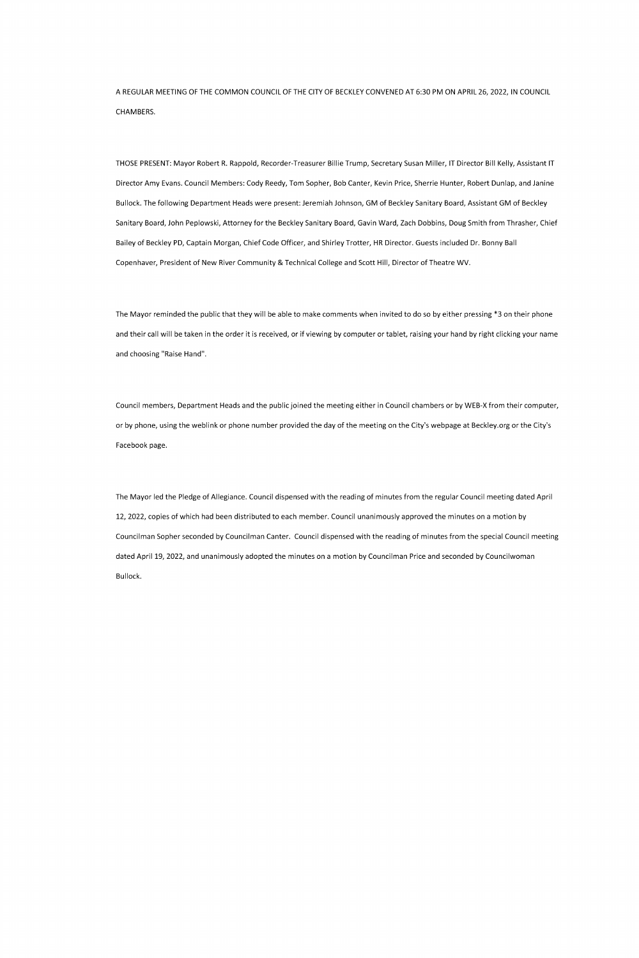AREGULAR MEETINGOFTHECOMMONCOUNCILOFTHECITYOFBECKLEYCONVENED AT6:30PMONAPRIL26, 2022, INCOUNCIL CHAMBERS.

THOSE PRESENT: Mayor Robert R. Rappold, Recorder-Treasurer Billie Trump, Secretary Susan Miller, IT Director Bill Kelly, Assistant IT Director Amy Evans. Council Members: Cody Reedy, Tom Sopher, Bob Canter, Kevin Price, Sherrie Hunter, Robert Dunlap, and Janine Bullock. The following Department Heads were present: Jeremiah Johnson, GM of Beckley Sanitary Board, Assistant GM of Beckley Sanitary Board, John Peplowski, Attorney for the Beckley Sanitary Board, Gavin Ward, Zach Dobbins, Doug Smith from Thrasher, Chief Bailey of Beckley PD, Captain Morgan, Chief Code Officer, and Shirley Trotter, HR Director. Guests included Dr. Bonny Ball Copenhaver, President of New River Community & Technical College and Scott Hill, Director of Theatre WV.

The Mayor reminded the public that they will be able to make comments when invited to do so by either pressing \*3 on their phone and their call will be taken in the order it is received, or if viewing by computer or tablet, raising your hand by right clicking your name and choosing "Raise Hand".

Council members, Department Heads and the public joined the meeting either in Council chambers or by WEB-X from their computer, or by phone, using the weblink or phone number provided the day of the meeting on the City's webpage at Beckley.org or the City's Facebook page.

The Mayor led the Pledge of Allegiance. Council dispensed with the reading of minutes from the regular Council meeting dated April 12, 2022, copies of which had been distributed to each member. Council unanimously approved the minutes on a motion by Councilman Sopher seconded by Councilman Canter. Council dispensed with the reading of minutes from the special Council meeting dated April 19, 2022, and unanimously adopted the minutes on a motion by Councilman Price and seconded by Councilwoman Bullock.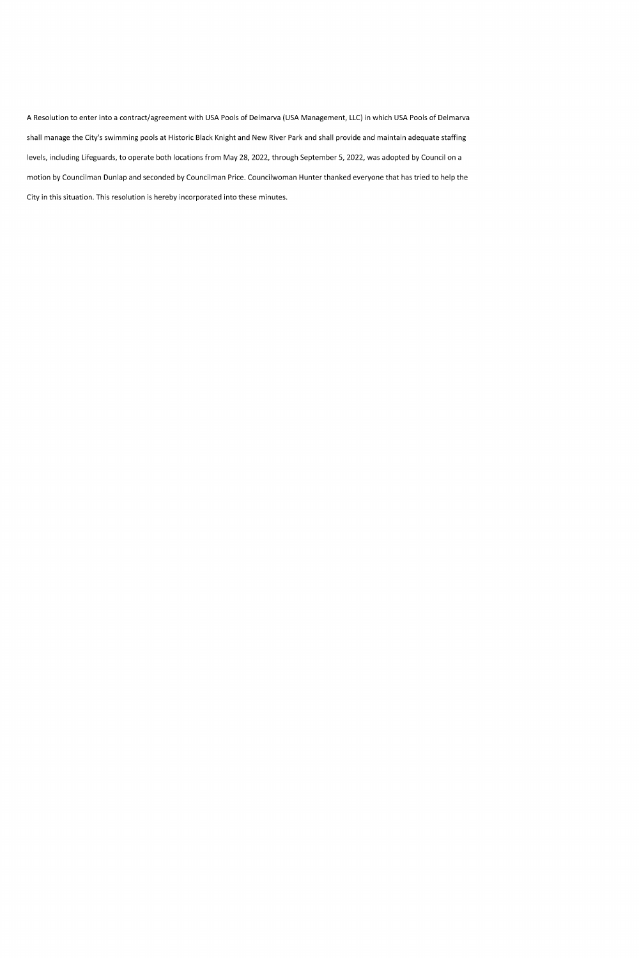A Resolution to enter into a contract/agreement with USA Pools of Delmarva (USA Management, LLC) in which USA Pools of Delmarva shall manage the City's swimming pools at Historic Black Knight and New River Park and shall provide and maintain adequate staffing levels, including Lifeguards, to operate both locations from May 28, 2022, through September 5, 2022, was adopted by Council on a motion by Councilman Dunlap and seconded by Councilman Price. Councilwoman Hunter thanked everyone that has tried to help the City in this situation. This resolution is hereby incorporated into these minutes.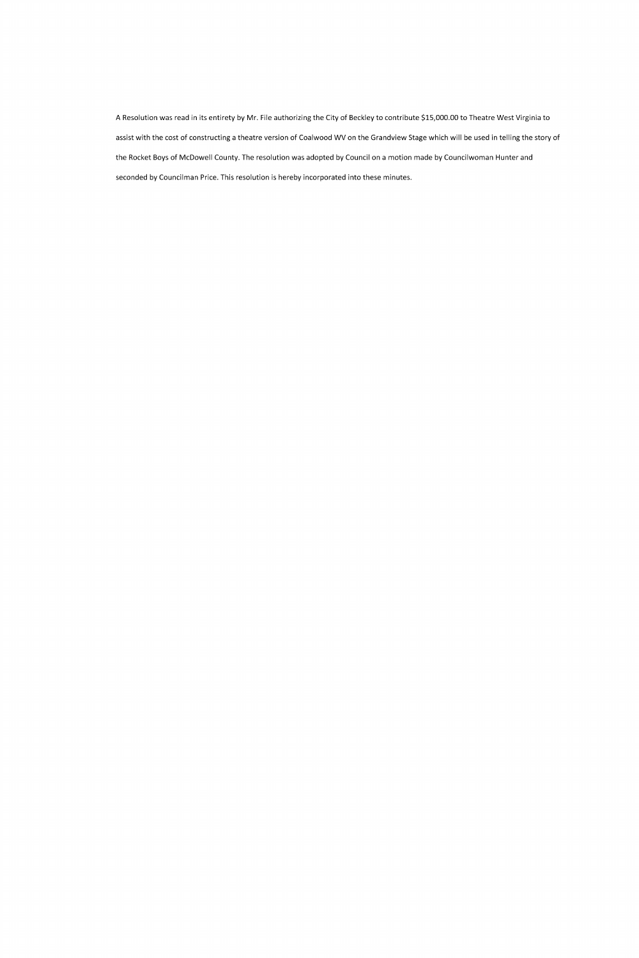A Resolution was read in its entirety by Mr. File authorizing the City of Beckley to contribute \$15,000.00 to Theatre West Virginia to assist with the cost of constructing a theatre version of Coalwood WV on the Grandview Stage which will be used in telling the story of the Rocket Boys of McDowell County. The resolution was adopted by Council on a motion made by Councilwoman Hunter and seconded by Councilman Price. This resolution is hereby incorporated into these minutes.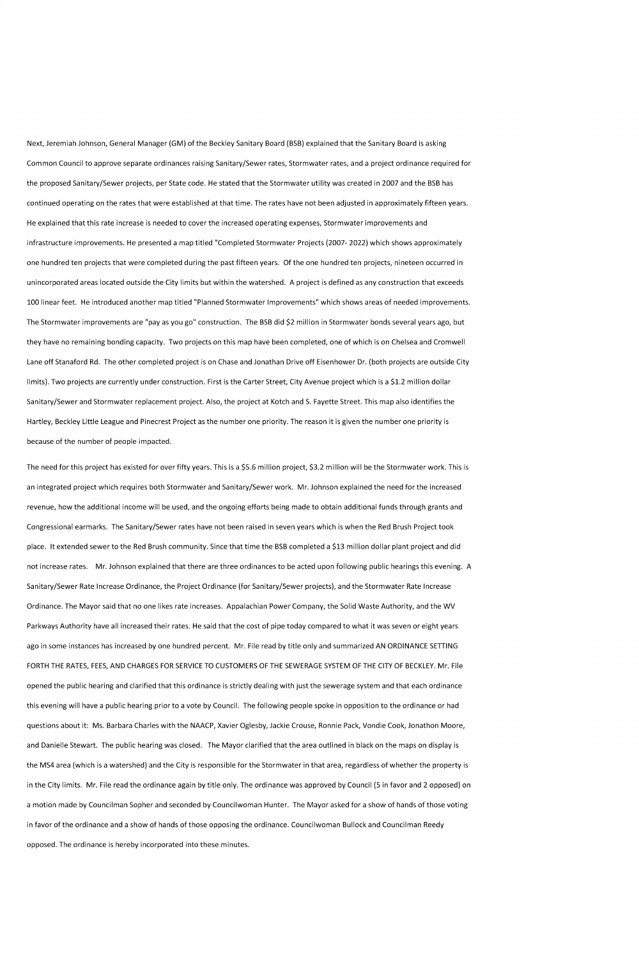Next, Jeremiah Johnson, General Manager (GM) of the Beckley Sanitary Board (BSB) explained that the Sanitary Board is asking Common Council to approve separate ordinances raising Sanitary/Sewer rates, Stormwater rates, and a project ordinance required for the proposed Sanitary/Sewer projects, per State code. He stated that the Stormwater utility was created in 2007 and the BSB has continued operating on the rates that were established at that time. The rates have not been adjusted in approximately fifteen years. He explained that this rate increase is needed to cover the increased operating expenses, Stormwater improvements and infrastructure improvements. He presented a map titled "Completed Stormwater Projects (2007- 2022) which shows approximately one hundred ten projects that were completed during the past fifteen years. Of the one hundred ten projects, nineteen occurred in unincorporated areas located outside the City limits but within the watershed. A project is defined as any construction that exceeds 100 linear feet. He introduced another map titled "Planned Stormwater Improvements" which shows areas of needed improvements. The Stormwater improvements are "pay as you go" construction. The BSB did \$2 million in Stormwater bonds several years ago, but they have no remaining bonding capacity. Two projects on this map have been completed, one of which is on Chelsea and Cromwell Lane off Stanaford Rd. The other completed project is on Chase and Jonathan Drive off Eisenhower Dr. (both projects are outside City limits). Two projects are currently under construction. First is the Carter Street, City Avenue project which is a \$1.2 million dollar Sanitary/Sewer and Stormwater replacement project. Also, the project at Kotch and S. Fayette Street. This map also identifies the Hartley, Beckley Little League and Pinecrest Project as the number one priority. The reason it is given the number one priority is because of the number of people impacted.

The need for this project has existed for over fifty years. This is a \$5.6 million project, \$3.2 million will be the Stormwater work. This is an integrated project which requires both Stormwater and Sanitary/Sewer work. Mr. Johnson explained the need for the increased revenue, how the additional income will be used, and the ongoing efforts being made to obtain additional funds through grants and Congressional earmarks. The Sanitary/Sewer rates have not been raised in seven years which is when the Red Brush Project took place. It extended sewer to the Red Brush community. Since that time the BSB completed a \$13 million dollar plant project and did not increase rates. Mr. Johnson explained that there are three ordinances to be acted upon following public hearings this evening. A Sanitary/Sewer Rate Increase Ordinance, the Project Ordinance (for Sanitary/Sewer projects), and the Stormwater Rate Increase Ordinance. The Mayor said that no one likes rate increases. Appalachian Power Company, the Solid Waste Authority, and the WV Parkways Authority have all increased their rates. He said that the cost of pipe today compared to what it was seven or eight years ago in some instances has increased by one hundred percent. Mr. File read by title only and summarized AN ORDINANCE SETTING FORTH THE RATES, FEES, AND CHARGES FOR SERVICE TO CUSTOMERS OF THE SEWERAGE SYSTEM OF THE CITY OF BECKLEY. Mr. File opened the public hearing and clarified that this ordinance is strictly dealing with just the sewerage system and that each ordinance this evening will have a public hearing prior to a vote by Council. The following people spoke in opposition to the ordinance or had questions about it: Ms. Barbara Charles with the NAACP, Xavier Oglesby, Jackie Crouse, Ronnie Pack, Vondie Cook, Jonathon Moore, and Danielle Stewart. The public hearing was closed. The Mayor clarified that the area outlined in black on the maps on display is the MS4 area (which is a watershed) and the City is responsible for the Stormwater in that area, regardless of whether the property is in the City limits. Mr. File read the ordinance again by title only. The ordinance was approved by Council (5 in favor and 2 opposed) on a motion made by Councilman Sopher and seconded by Councilwoman Hunter. The Mayor asked for a show of hands of those voting in favor of the ordinance and a show of hands of those opposing the ordinance. Councilwoman Bullock and Councilman Reedy opposed. The ordinance is hereby incorporated into these minutes.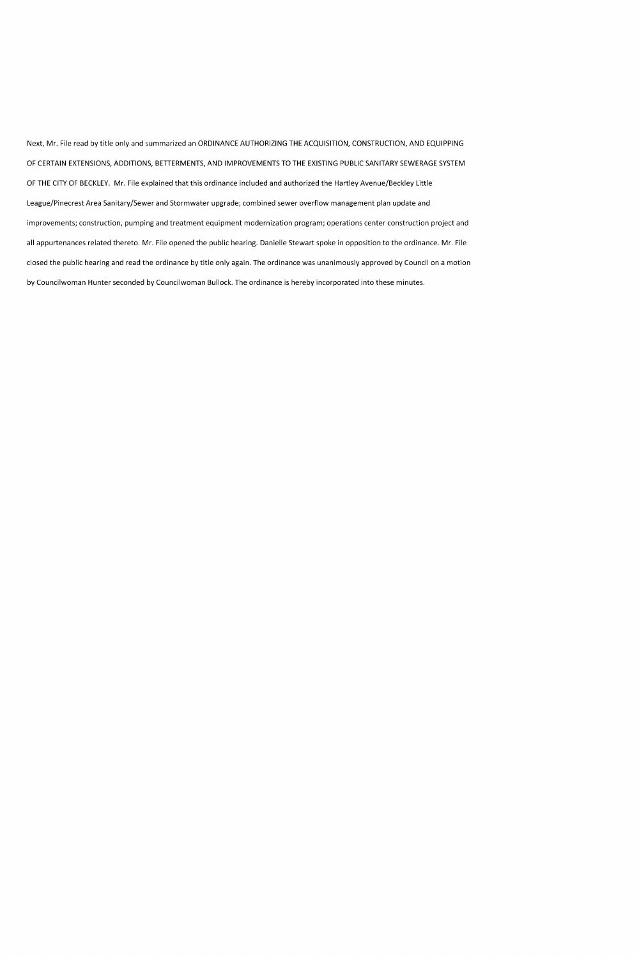Next, Mr. File read by title only and summarized an ORDINANCE AUTHORIZING THE ACQUISITION, CONSTRUCTION, AND EQUIPPING OF CERTAIN EXTENSIONS, ADDITIONS, BETTERMENTS, AND IMPROVEMENTS TO THE EXISTING PUBLIC SANITARY SEWERAGE SYSTEM OF THE CITY OF BECKLEY. Mr. File explained that this ordinance included and authorized the Hartley Avenue/Beckley Little League/Pinecrest Area Sanitary/Sewer and Stormwater upgrade; combined sewer overflow management plan update and improvements; construction, pumping and treatment equipment modernization program; operations center construction project and all appurtenances related thereto. Mr. File opened the public hearing. Danielle Stewart spoke in opposition to the ordinance. Mr. File closed the public hearing and read the ordinance by title only again. The ordinance was unanimously approved by Council on a motion by Councilwoman Hunter seconded by Councilwoman Bullock. The ordinance is hereby incorporated into these minutes.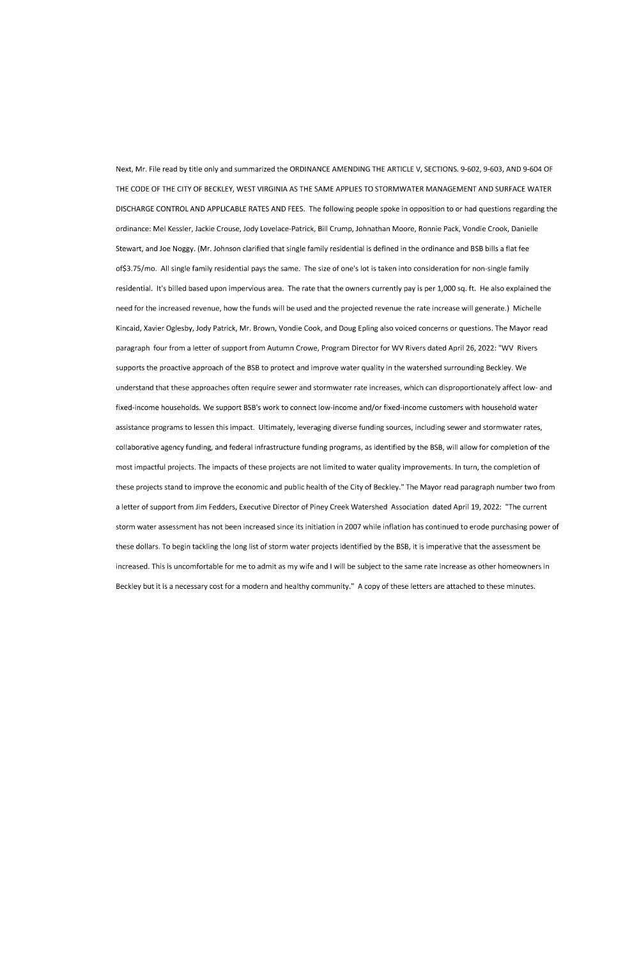Next, Mr. File read by title only and summarized the ORDINANCE AMENDING THE ARTICLE V, SECTIONS. 9-602, 9-603, AND 9-604 OF THE CODE OF THE CITY OF BECKLEY, WEST VIRGINIA AS THE SAME APPLIES TO STORMWATER MANAGEMENT AND SURFACE WATER DISCHARGE CONTROL AND APPLICABLE RATES AND FEES. The following people spoke in opposition to or had questions regarding the ordinance: Mel Kessler, Jackie Crouse, Jody Lovelace-Patrick, Bill Crump, Johnathan Moore, Ronnie Pack, Vondie Crook, Danielle Stewart, and Joe Noggy. (Mr. Johnson clarified that single family residential is defined in the ordinance and BSB bills a flat fee of \$3.75/mo. All single family residential pays the same. The size of one's lot is taken into consideration for non-single family residential. It's billed based upon impervious area. The rate that the owners currently pay is per 1,000 sq. ft. He also explained the need for the increased revenue, how the funds will be used and the projected revenue the rate increase will generate.) Michelle Kincaid, Xavier Oglesby, Jody Patrick, Mr. Brown, Vondie Cook, and Doug Epling also voiced concerns or questions. The Mayor read paragraph four from a letter of support from Autumn Crowe, Program Director for WV Rivers dated April 26, 2022: "WV Rivers supports the proactive approach of the BSB to protect and improve water quality in the watershed surrounding Beckley. We understand that these approaches often require sewer and stormwater rate increases, which can disproportionately affect low- and fixed-income households. We support BSB's work to connect low-income and/or fixed-income customers with household water assistance programs to lessen this impact. Ultimately, leveraging diverse funding sources, including sewer and stormwater rates, collaborative agency funding, and federal infrastructure funding programs, as identified by the BSB, will allow for completion of the most impactful projects. The impacts of these projects are not limited to water quality improvements. In turn, the completion of these projects stand to improve the economic and public health of the City of Beckley." The Mayor read paragraph number two from a letter of support from Jim Fedders, Executive Director of Piney Creek Watershed Association dated April 19, 2022: "The current storm water assessment has not been increased since its initiation in 2007 while inflation has continued to erode purchasing power of these dollars. To begin tackling the long list of storm water projects identified by the BSB, it is imperative that the assessment be increased. This is uncomfortable for me to admit as my wife and I will be subject to the same rate increase as other homeowners in Beckley but it is a necessary cost for a modern and healthy community." A copy of these letters are attached to these minutes.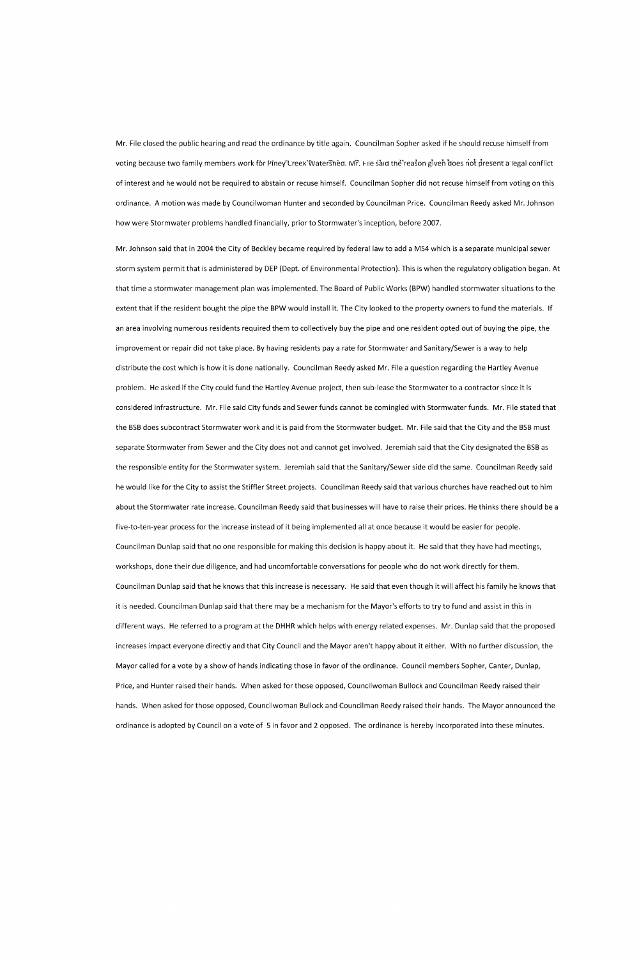Mr. File closed the public hearing and read the ordinance by title again. Councilman Sopher asked if he should recuse himself from voting because two family members work for Piney Creek Watershed. Mr. File said the reason given does not present a legal conflict of interest and he would not be required to abstain or recuse himself. Councilman Sopher did not recuse himself from voting on this ordinance. A motion was made by Councilwoman Hunter and seconded by Councilman Price. Councilman Reedy asked Mr. Johnson how were Stormwater problems handled financially, prior to Stormwater's inception, before 2007.

Mr. Johnson said that in 2004 the City of Beckley became required by federal law to add a MS4 which is a separate municipal sewer storm system permit that is administered by DEP (Dept. of Environmental Protection). This is when the regulatory obligation began. At that time a stormwater management plan was implemented. The Board of Public Works (BPW) handled stormwater situations to the extent that if the resident bought the pipe the BPW would install it. The City looked to the property owners to fund the materials. If an area involving numerous residents required them to collectively buy the pipe and one resident opted out of buying the pipe, the improvement or repair did not take place. By having residents pay a rate for Stormwater and Sanitary/Sewer is a way to help distribute the cost which is how it is done nationally. Councilman Reedy asked Mr. File a question regarding the Hartley Avenue problem. He asked if the City could fund the Hartley Avenue project, then sub-lease the Stormwater to a contractor since it is considered infrastructure. Mr. File said City funds and Sewer funds cannot be comingled with Stormwater funds. Mr. File stated that the BSB does subcontract Stormwater work and it is paid from the Stormwater budget. Mr. File said that the City and the BSB must separate Stormwater from Sewer and the City does not and cannot get involved. Jeremiah said that the City designated the BSB as the responsible entity for the Stormwater system. Jeremiah said that the Sanitary/Sewer side did the same. Councilman Reedy said he would like for the City to assist the Stiffler Street projects. Councilman Reedy said that various churches have reached out to him about the Stormwater rate increase. Councilman Reedy said that businesses will have to raise their prices. He thinks there should be a five-to-ten-year process for the increase instead of it being implemented all at once because it would be easier for people. Councilman Dunlap said that no one responsible for making this decision is happy about it. He said that they have had meetings, workshops, done their due diligence, and had uncomfortable conversations for people who do not work directly for them. Councilman Dunlap said that he knows that this increase is necessary. He said that even though it will affect his family he knows that it is needed. Councilman Dunlap said that there may be a mechanism for the Mayor's efforts to try to fund and assist in this in different ways. He referred to a program at the DHHR which helps with energy related expenses. Mr. Dunlap said that the proposed increases impact everyone directly and that City Council and the Mayor aren't happy about it either. With no further discussion, the

Mayor called for a vote by a show of hands indicating those in favor of the ordinance. Council members Sopher, Canter, Dunlap,

Price, and Hunter raised their hands. When asked for those opposed, Councilwoman Bullock and Councilman Reedy raised their

hands. When asked for those opposed, Councilwoman Bullock and Councilman Reedy raised their hands. The Mayor announced the

ordinance is adopted by Council on a vote of 5 in favor and 2 opposed. The ordinance is hereby incorporated into these minutes.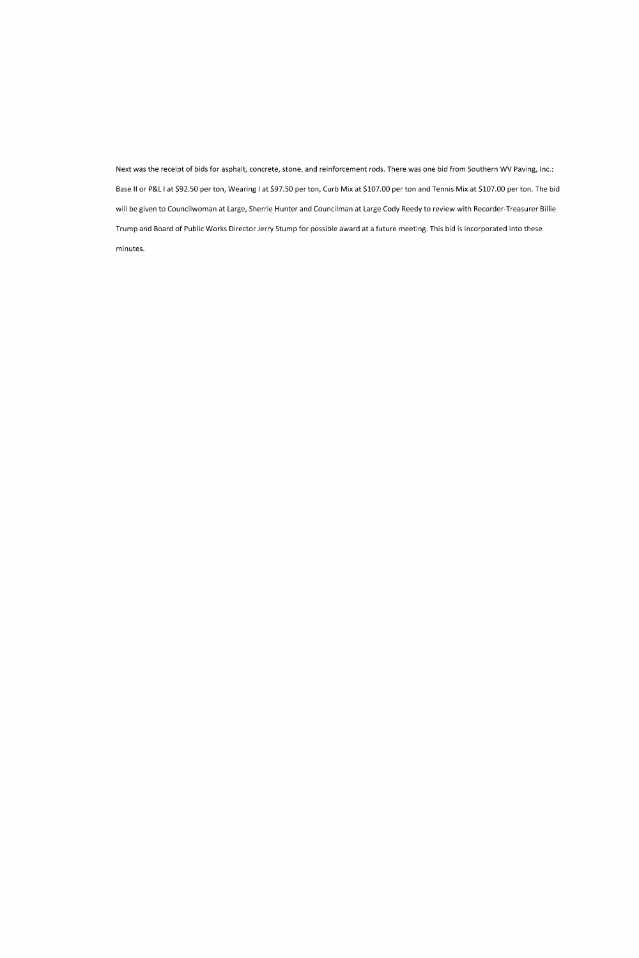Next was the receipt of bids for asphalt, concrete, stone, and reinforcement rods. There was one bid from Southern WV Paving, Inc.: Base II or P&L I at \$92.50 per ton, Wearing I at \$97.50 per ton, Curb Mix at \$107.00 per ton and Tennis Mix at \$107.00 per ton. The bid will be given to Councilwoman at Large, Sherrie Hunter and Councilman at Large Cody Reedy to review with Recorder-Treasurer Billie Trump and Board of Public Works Director Jerry Stump for possible award at a future meeting. This bid is incorporated into these minutes.